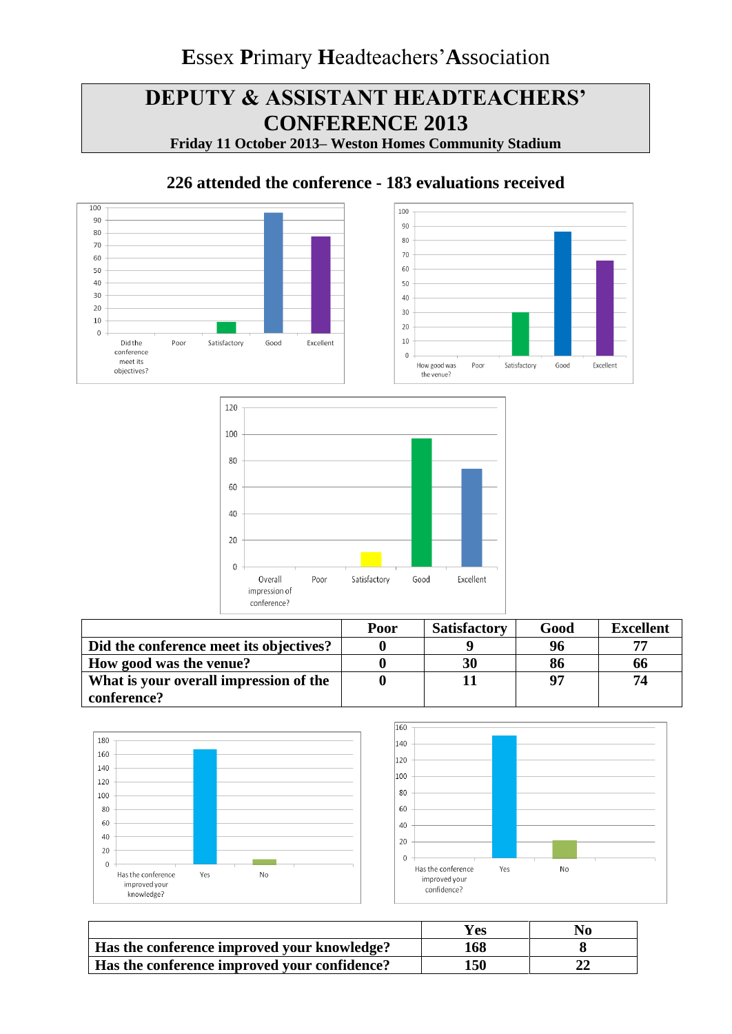# **DEPUTY & ASSISTANT HEADTEACHERS' CONFERENCE 2013**

**Friday 11 October 2013– Weston Homes Community Stadium**

### **226 attended the conference - 183 evaluations received**







|                                         | Poor | <b>Satisfactory</b> | Good | <b>Excellent</b> |
|-----------------------------------------|------|---------------------|------|------------------|
| Did the conference meet its objectives? |      |                     | 96   |                  |
| How good was the venue?                 |      | 30                  | 86   | 66               |
| What is your overall impression of the  |      |                     |      | 74               |
| conference?                             |      |                     |      |                  |





|                                              | Yes | No |
|----------------------------------------------|-----|----|
| Has the conference improved your knowledge?  | 168 |    |
| Has the conference improved your confidence? | 150 |    |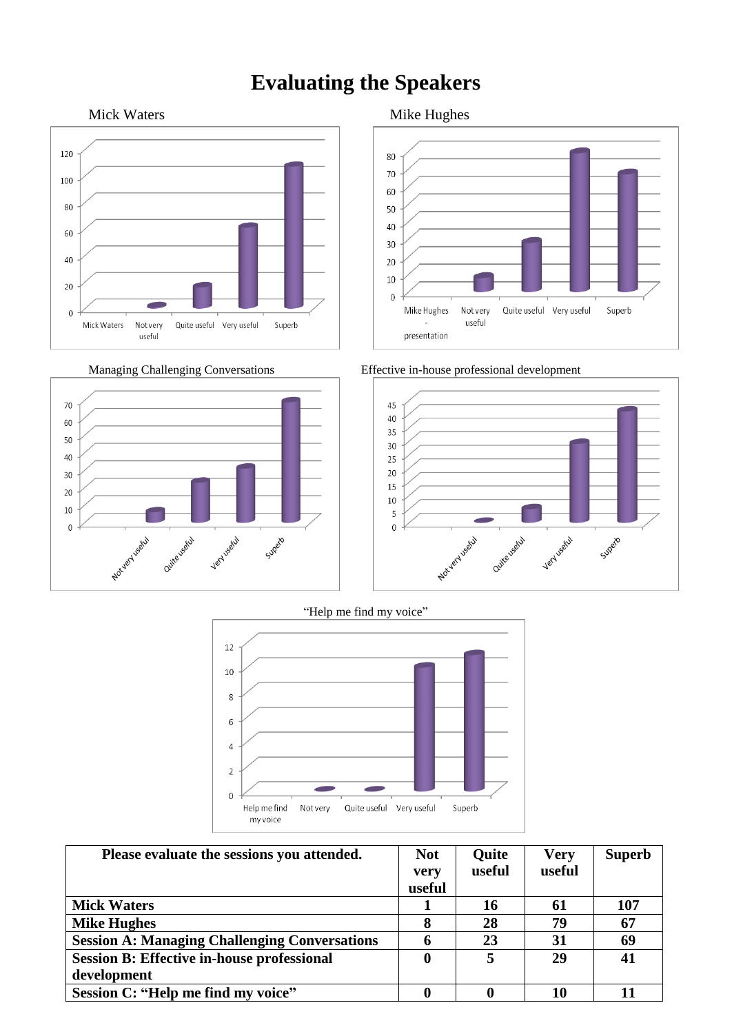## **Evaluating the Speakers**







Managing Challenging Conversations Effective in-house professional development



"Help me find my voice"



| Please evaluate the sessions you attended.           | <b>Not</b> | Quite  | <b>Very</b> | <b>Superb</b> |
|------------------------------------------------------|------------|--------|-------------|---------------|
|                                                      | very       | useful | useful      |               |
|                                                      | useful     |        |             |               |
| <b>Mick Waters</b>                                   |            | 16     | 61          | 107           |
| <b>Mike Hughes</b>                                   |            | 28     | 79          | 67            |
| <b>Session A: Managing Challenging Conversations</b> |            | 23     | 31          | 69            |
| <b>Session B: Effective in-house professional</b>    |            |        | 29          | 41            |
| development                                          |            |        |             |               |
| Session C: "Help me find my voice"                   |            |        | 10          |               |